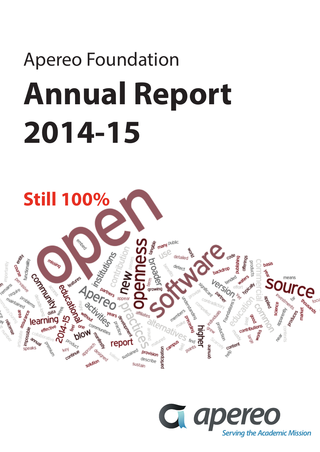# Apereo Foundation **Annual Report 2014-15**



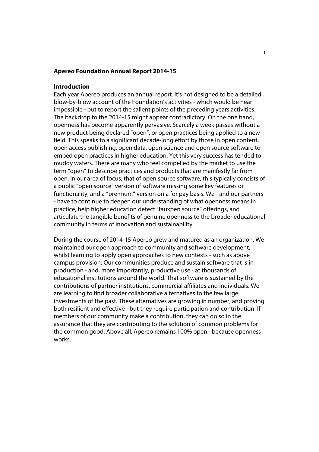#### **Apereo Foundation Annual Report 2014-15**

#### **Introduction**

Each year Apereo produces an annual report. It's not designed to be a detailed blow-by-blow account of the Foundation's activities - which would be near impossible - but to report the salient points of the preceding years activities. The backdrop to the 2014-15 might appear contradictory. On the one hand, openness has become apparently pervasive. Scarcely a week passes without a new product being declared "open", or open practices being applied to a new field. This speaks to a significant decade-long effort by those in open content, open access publishing, open data, open science and open source software to embed open practices in higher education. Yet this very success has tended to muddy waters. There are many who feel compelled by the market to use the term "open" to describe practices and products that are manifestly far from open. In our area of focus, that of open source software, this typically consists of a public "open source" version of software missing some key features or functionality, and a "premium" version on a for pay basis. We - and our partners - have to continue to deepen our understanding of what openness means in practice, help higher education detect "fauxpen source" offerings, and articulate the tangible benefits of genuine openness to the broader educational community in terms of innovation and sustainability.

During the course of 2014-15 Apereo grew and matured as an organization. We maintained our open approach to community and software development, whilst learning to apply open approaches to new contexts - such as above campus provision. Our communities produce and sustain software that is in production - and, more importantly, productive use - at thousands of educational institutions around the world. That software is sustained by the contributions of partner institutions, commercial affiliates and individuals. We are learning to find broader collaborative alternatives to the few large investments of the past. These alternatives are growing in number, and proving both resilient and effective - but they require participation and contribution. If members of our community make a contribution, they can do so in the assurance that they are contributing to the solution of common problems for the common good. Above all, Apereo remains 100% open - because openness works.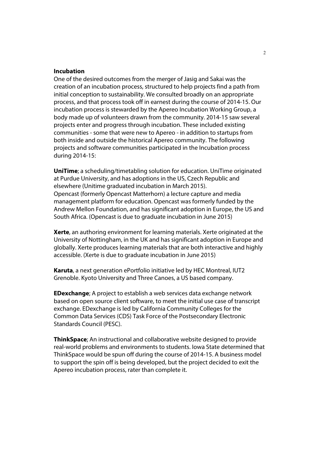#### **Incubation**

One of the desired outcomes from the merger of Jasig and Sakai was the creation of an incubation process, structured to help projects find a path from initial conception to sustainability. We consulted broadly on an appropriate process, and that process took off in earnest during the course of 2014-15. Our incubation process is stewarded by the Apereo Incubation Working Group, a body made up of volunteers drawn from the community. 2014-15 saw several projects enter and progress through incubation. These included existing communities - some that were new to Apereo - in addition to startups from both inside and outside the historical Apereo community. The following projects and software communities participated in the Incubation process during 2014-15:

**UniTime**; a scheduling/timetabling solution for education. UniTime originated at Purdue University, and has adoptions in the US, Czech Republic and elsewhere (Unitime graduated incubation in March 2015). Opencast (formerly Opencast Matterhorn) a lecture capture and media management platform for education. Opencast was formerly funded by the Andrew Mellon Foundation, and has significant adoption in Europe, the US and South Africa. (Opencast is due to graduate incubation in June 2015)

**Xerte**, an authoring environment for learning materials. Xerte originated at the University of Nottingham, in the UK and has significant adoption in Europe and globally. Xerte produces learning materials that are both interactive and highly accessible. (Xerte is due to graduate incubation in June 2015)

**Karuta**, a next generation ePortfolio initiative led by HEC Montreal, IUT2 Grenoble. Kyoto University and Three Canoes, a US based company.

**EDexchange**; A project to establish a web services data exchange network based on open source client software, to meet the initial use case of transcript exchange. EDexchange is led by California Community Colleges for the Common Data Services (CDS) Task Force of the Postsecondary Electronic Standards Council (PESC).

**ThinkSpace**; An instructional and collaborative website designed to provide real-world problems and environments to students. Iowa State determined that ThinkSpace would be spun off during the course of 2014-15. A business model to support the spin off is being developed, but the project decided to exit the Apereo incubation process, rater than complete it.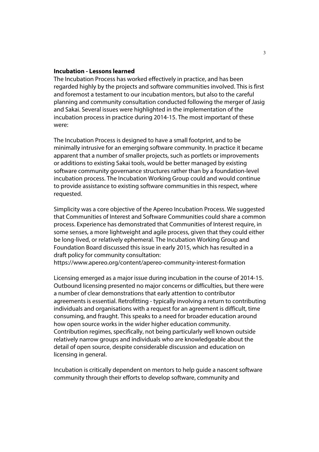#### **Incubation - Lessons learned**

The Incubation Process has worked effectively in practice, and has been regarded highly by the projects and software communities involved. This is first and foremost a testament to our incubation mentors, but also to the careful planning and community consultation conducted following the merger of Jasig and Sakai. Several issues were highlighted in the implementation of the incubation process in practice during 2014-15. The most important of these were:

The Incubation Process is designed to have a small footprint, and to be minimally intrusive for an emerging software community. In practice it became apparent that a number of smaller projects, such as portlets or improvements or additions to existing Sakai tools, would be better managed by existing software community governance structures rather than by a foundation-level incubation process. The Incubation Working Group could and would continue to provide assistance to existing software communities in this respect, where requested.

Simplicity was a core objective of the Apereo Incubation Process. We suggested that Communities of Interest and Software Communities could share a common process. Experience has demonstrated that Communities of Interest require, in some senses, a more lightweight and agile process, given that they could either be long-lived, or relatively ephemeral. The Incubation Working Group and Foundation Board discussed this issue in early 2015, which has resulted in a draft policy for community consultation:

https://www.apereo.org/content/apereo-community-interest-formation

Licensing emerged as a major issue during incubation in the course of 2014-15. Outbound licensing presented no major concerns or difficulties, but there were a number of clear demonstrations that early attention to contributor agreements is essential. Retrofitting - typically involving a return to contributing individuals and organisations with a request for an agreement is difficult, time consuming, and fraught. This speaks to a need for broader education around how open source works in the wider higher education community. Contribution regimes, specifically, not being particularly well known outside relatively narrow groups and individuals who are knowledgeable about the detail of open source, despite considerable discussion and education on licensing in general.

Incubation is critically dependent on mentors to help guide a nascent software community through their efforts to develop software, community and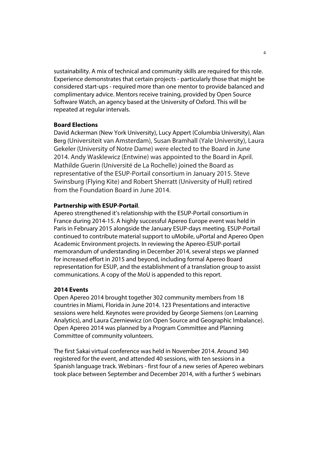sustainability. A mix of technical and community skills are required for this role. Experience demonstrates that certain projects - particularly those that might be considered start-ups - required more than one mentor to provide balanced and complimentary advice. Mentors receive training, provided by Open Source Software Watch, an agency based at the University of Oxford. This will be repeated at regular intervals.

#### **Board Elections**

David Ackerman (New York University), Lucy Appert (Columbia University), Alan Berg (Universiteit van Amsterdam), Susan Bramhall (Yale University), Laura Gekeler (University of Notre Dame) were elected to the Board in June 2014. Andy Wasklewicz (Entwine) was appointed to the Board in April. Mathilde Guerin (Université de La Rochelle) joined the Board as representative of the ESUP-Portail consortium in January 2015. Steve Swinsburg (Flying Kite) and Robert Sherratt (University of Hull) retired from the Foundation Board in June 2014.

#### **Partnership with ESUP-Portail**.

Apereo strengthened it's relationship with the ESUP-Portail consortium in France during 2014-15. A highly successful Apereo Europe event was held in Paris in February 2015 alongside the January ESUP-days meeting. ESUP-Portail continued to contribute material support to uMobile, uPortal and Apereo Open Academic Environment projects. In reviewing the Apereo-ESUP-portail memorandum of understanding in December 2014, several steps we planned for increased effort in 2015 and beyond, including formal Apereo Board representation for ESUP, and the establishment of a translation group to assist communications. A copy of the MoU is appended to this report.

#### **2014 Events**

Open Apereo 2014 brought together 302 community members from 18 countries in Miami, Florida in June 2014. 123 Presentations and interactive sessions were held. Keynotes were provided by George Siemens (on Learning Analytics), and Laura Czerniewicz (on Open Source and Geographic Imbalance). Open Apereo 2014 was planned by a Program Committee and Planning Committee of community volunteers.

The first Sakai virtual conference was held in November 2014. Around 340 registered for the event, and attended 40 sessions, with ten sessions in a Spanish language track. Webinars - first four of a new series of Apereo webinars took place between September and December 2014, with a further 5 webinars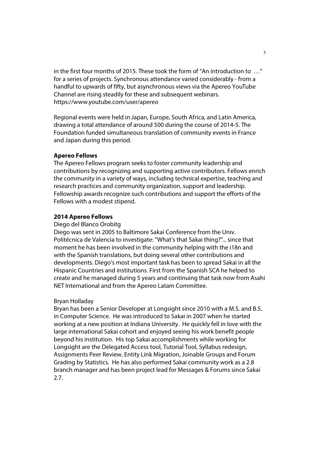in the first four months of 2015. These took the form of "An introduction to …" for a series of projects. Synchronous attendance varied considerably - from a handful to upwards of fifty, but asynchronous views via the Apereo YouTube Channel are rising steadily for these and subsequent webinars. https://www.youtube.com/user/apereo

Regional events were held in Japan, Europe, South Africa, and Latin America, drawing a total attendance of around 500 during the course of 2014-5. The Foundation funded simultaneous translation of community events in France and Japan during this period.

#### **Apereo Fellows**

The Apereo Fellows program seeks to foster community leadership and contributions by recognizing and supporting active contributors. Fellows enrich the community in a variety of ways, including technical expertise, teaching and research practices and community organization, support and leadership. Fellowship awards recognize such contributions and support the efforts of the Fellows with a modest stipend.

#### **2014 Apereo Fellows**

#### Diego del Blanco Orobitg

Diego was sent in 2005 to Baltimore Sakai Conference from the Univ. Politécnica de Valencia to investigate: "What's that Sakai thing?"... since that moment he has been involved in the community helping with the i18n and with the Spanish translations, but doing several other contributions and developments. Diego's most important task has been to spread Sakai in all the Hispanic Countries and institutions. First from the Spanish SCA he helped to create and he managed during 5 years and continuing that task now from Asahi NET International and from the Apereo Latam Committee.

#### Bryan Holladay

Bryan has been a Senior Developer at Longsight since 2010 with a M.S. and B.S. in Computer Science. He was introduced to Sakai in 2007 when he started working at a new position at Indiana University. He quickly fell in love with the large international Sakai cohort and enjoyed seeing his work benefit people beyond his institution. His top Sakai accomplishments while working for Longsight are the Delegated Access tool, Tutorial Tool, Syllabus redesign, Assignments Peer Review, Entity Link Migration, Joinable Groups and Forum Grading by Statistics. He has also performed Sakai community work as a 2.8 branch manager and has been project lead for Messages & Forums since Sakai 2.7.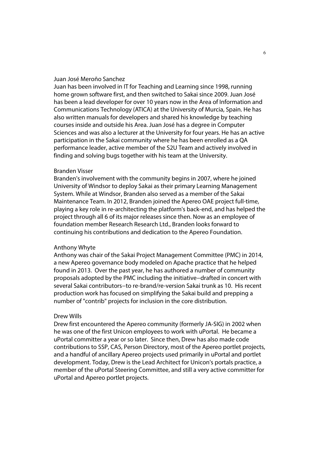#### Juan José Meroño Sanchez

Juan has been involved in IT for Teaching and Learning since 1998, running home grown software first, and then switched to Sakai since 2009. Juan José has been a lead developer for over 10 years now in the Area of Information and Communications Technology (ATICA) at the University of Murcia, Spain. He has also written manuals for developers and shared his knowledge by teaching courses inside and outside his Area. Juan José has a degree in Computer Sciences and was also a lecturer at the University for four years. He has an active participation in the Sakai community where he has been enrolled as a QA performance leader, active member of the S2U Team and actively involved in finding and solving bugs together with his team at the University.

#### Branden Visser

Branden's involvement with the community begins in 2007, where he joined University of Windsor to deploy Sakai as their primary Learning Management System. While at Windsor, Branden also served as a member of the Sakai Maintenance Team. In 2012, Branden joined the Apereo OAE project full-time, playing a key role in re-architecting the platform's back-end, and has helped the project through all 6 of its major releases since then. Now as an employee of foundation member Research Research Ltd., Branden looks forward to continuing his contributions and dedication to the Apereo Foundation.

#### Anthony Whyte

Anthony was chair of the Sakai Project Management Committee (PMC) in 2014, a new Apereo governance body modeled on Apache practice that he helped found in 2013. Over the past year, he has authored a number of community proposals adopted by the PMC including the initiative−drafted in concert with several Sakai contributors−to re-brand/re-version Sakai trunk as 10. His recent production work has focused on simplifying the Sakai build and prepping a number of "contrib" projects for inclusion in the core distribution.

#### Drew Wills

Drew first encountered the Apereo community (formerly JA-SIG) in 2002 when he was one of the first Unicon employees to work with uPortal. He became a uPortal committer a year or so later. Since then, Drew has also made code contributions to SSP, CAS, Person Directory, most of the Apereo portlet projects, and a handful of ancillary Apereo projects used primarily in uPortal and portlet development. Today, Drew is the Lead Architect for Unicon's portals practice, a member of the uPortal Steering Committee, and still a very active committer for uPortal and Apereo portlet projects.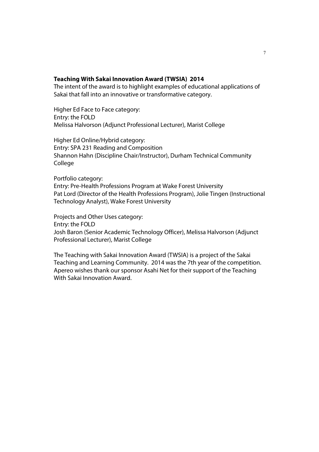#### **Teaching With Sakai Innovation Award (TWSIA) 2014**

The intent of the award is to highlight examples of educational applications of Sakai that fall into an innovative or transformative category.

Higher Ed Face to Face category: Entry: the FOLD Melissa Halvorson (Adjunct Professional Lecturer), Marist College

Higher Ed Online/Hybrid category: Entry: SPA 231 Reading and Composition Shannon Hahn (Discipline Chair/Instructor), Durham Technical Community **College** 

Portfolio category: Entry: Pre-Health Professions Program at Wake Forest University Pat Lord (Director of the Health Professions Program), Jolie Tingen (Instructional Technology Analyst), Wake Forest University

Projects and Other Uses category: Entry: the FOLD Josh Baron (Senior Academic Technology Officer), Melissa Halvorson (Adjunct Professional Lecturer), Marist College

The Teaching with Sakai Innovation Award (TWSIA) is a project of the Sakai Teaching and Learning Community. 2014 was the 7th year of the competition. Apereo wishes thank our sponsor Asahi Net for their support of the Teaching With Sakai Innovation Award.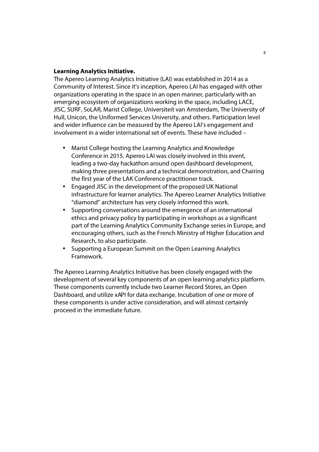#### **Learning Analytics Initiative.**

The Apereo Learning Analytics Initiative (LAI) was established in 2014 as a Community of Interest. Since it's inception, Apereo LAI has engaged with other organizations operating in the space in an open manner, particularly with an emerging ecosystem of organizations working in the space, including LACE, JISC, SURF, SoLAR, Marist College, Universiteit van Amsterdam, The University of Hull, Unicon, the Uniformed Services University, and others. Participation level and wider influence can be measured by the Apereo LAI's engagement and involvement in a wider international set of events. These have included –

- Marist College hosting the Learning Analytics and Knowledge Conference in 2015. Apereo LAI was closely involved in this event, leading a two-day hackathon around open dashboard development, making three presentations and a technical demonstration, and Chairing the first year of the LAK Conference practitioner track.
- Engaged JISC in the development of the proposed UK National infrastructure for learner analytics. The Apereo Learner Analytics Initiative "diamond" architecture has very closely informed this work.
- Supporting conversations around the emergence of an international ethics and privacy policy by participating in workshops as a significant part of the Learning Analytics Community Exchange series in Europe, and encouraging others, such as the French Ministry of Higher Education and Research, to also participate.
- Supporting a European Summit on the Open Learning Analytics Framework.

The Apereo Learning Analytics Initiative has been closely engaged with the development of several key components of an open learning analytics platform. These components currently include two Learner Record Stores, an Open Dashboard, and utilize xAPI for data exchange. Incubation of one or more of these components is under active consideration, and will almost certainly proceed in the immediate future.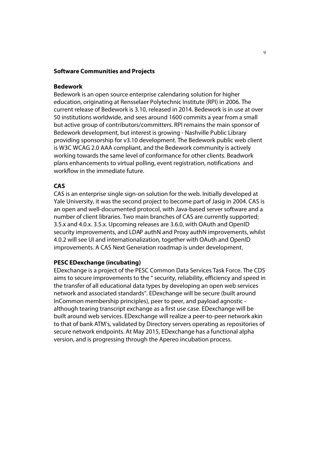#### **Software Communities and Projects**

#### **Bedework**

Bedework is an open source enterprise calendaring solution for higher education, originating at Rensselaer Polytechnic Institute (RPI) in 2006. The current release of Bedework is 3.10, released in 2014. Bedework is in use at over 50 institutions worldwide, and sees around 1600 commits a year from a small but active group of contributors/committers. RPI remains the main sponsor of Bedework development, but interest is growing - Nashville Public Library providing sponsorship for v3.10 development. The Bedework public web client is W3C WCAG 2.0 AAA compliant, and the Bedework community is actively working towards the same level of conformance for other clients. Beadwork plans enhancements to virtual polling, event registration, notifications and workflow in the immediate future.

#### **CAS**

CAS is an enterprise single sign-on solution for the web. Initially developed at Yale University, it was the second project to become part of Jasig in 2004. CAS is an open and well-documented protocol, with Java-based server software and a number of client libraries. Two main branches of CAS are currently supported; 3.5.x and 4.0.x. 3.5.x. Upcoming releases are 3.6.0, with OAuth and OpenID security improvements, and LDAP authN and Proxy authN improvements, whilst 4.0.2 will see UI and internationalization, together with OAuth and OpenID improvements. A CAS Next Generation roadmap is under development.

#### **PESC EDexchange (incubating)**

EDexchange is a project of the PESC Common Data Services Task Force. The CDS aims to secure improvements to the " security, reliability, efficiency and speed in the transfer of all educational data types by developing an open web services network and associated standards". EDexchange will be secure (built around InCommon membership principles), peer to peer, and payload agnostic although tearing transcript exchange as a first use case. EDexchange will be built around web services. EDexchange will realize a peer-to-peer network akin to that of bank ATM's, validated by Directory servers operating as repositories of secure network endpoints. At May 2015, EDexchange has a functional alpha version, and is progressing through the Apereo incubation process.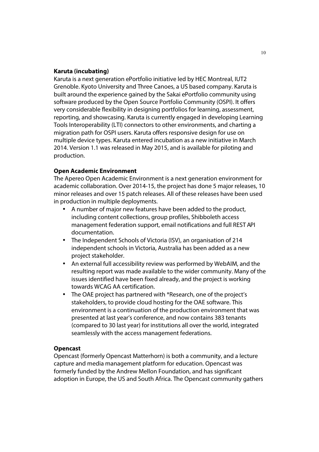#### **Karuta (incubating)**

Karuta is a next generation ePortfolio initiative led by HEC Montreal, IUT2 Grenoble. Kyoto University and Three Canoes, a US based company. Karuta is built around the experience gained by the Sakai ePortfolio community using software produced by the Open Source Portfolio Community (OSPI). It offers very considerable flexibility in designing portfolios for learning, assessment, reporting, and showcasing. Karuta is currently engaged in developing Learning Tools Interoperability (LTI) connectors to other environments, and charting a migration path for OSPI users. Karuta offers responsive design for use on multiple device types. Karuta entered incubation as a new initiative in March 2014. Version 1.1 was released in May 2015, and is available for piloting and production.

#### **Open Academic Environment**

The Apereo Open Academic Environment is a next generation environment for academic collaboration. Over 2014-15, the project has done 5 major releases, 10 minor releases and over 15 patch releases. All of these releases have been used in production in multiple deployments.

- A number of major new features have been added to the product, including content collections, group profiles, Shibboleth access management federation support, email notifications and full REST API documentation.
- The Independent Schools of Victoria (ISV), an organisation of 214 independent schools in Victoria, Australia has been added as a new project stakeholder.
- An external full accessibility review was performed by WebAIM, and the resulting report was made available to the wider community. Many of the issues identified have been fixed already, and the project is working towards WCAG AA certification.
- The OAE project has partnered with \*Research, one of the project's stakeholders, to provide cloud hosting for the OAE software. This environment is a continuation of the production environment that was presented at last year's conference, and now contains 383 tenants (compared to 30 last year) for institutions all over the world, integrated seamlessly with the access management federations.

#### **Opencast**

Opencast (formerly Opencast Matterhorn) is both a community, and a lecture capture and media management platform for education. Opencast was formerly funded by the Andrew Mellon Foundation, and has significant adoption in Europe, the US and South Africa. The Opencast community gathers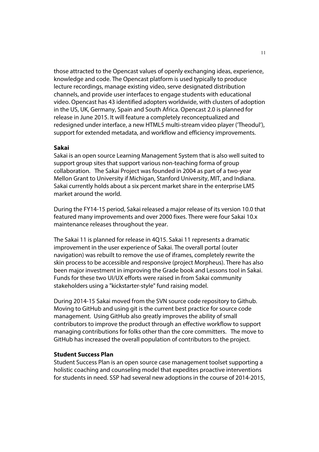those attracted to the Opencast values of openly exchanging ideas, experience, knowledge and code. The Opencast platform is used typically to produce lecture recordings, manage existing video, serve designated distribution channels, and provide user interfaces to engage students with educational video. Opencast has 43 identified adopters worldwide, with clusters of adoption in the US, UK, Germany, Spain and South Africa. Opencast 2.0 is planned for release in June 2015. It will feature a completely reconceptualized and redesigned under interface, a new HTML5 multi-stream video player ('Theodul'), support for extended metadata, and workflow and efficiency improvements.

#### **Sakai**

Sakai is an open source Learning Management System that is also well suited to support group sites that support various non-teaching forma of group collaboration. The Sakai Project was founded in 2004 as part of a two-year Mellon Grant to University if Michigan, Stanford University, MIT, and Indiana. Sakai currently holds about a six percent market share in the enterprise LMS market around the world.

During the FY14-15 period, Sakai released a major release of its version 10.0 that featured many improvements and over 2000 fixes. There were four Sakai 10.x maintenance releases throughout the year.

The Sakai 11 is planned for release in 4Q15. Sakai 11 represents a dramatic improvement in the user experience of Sakai. The overall portal (outer navigation) was rebuilt to remove the use of iframes, completely rewrite the skin process to be accessible and responsive (project Morpheus). There has also been major investment in improving the Grade book and Lessons tool in Sakai. Funds for these two UI/UX efforts were raised in from Sakai community stakeholders using a "kickstarter-style" fund raising model.

During 2014-15 Sakai moved from the SVN source code repository to Github. Moving to GitHub and using git is the current best practice for source code management. Using GitHub also greatly improves the ability of small contributors to improve the product through an effective workflow to support managing contributions for folks other than the core committers. The move to GitHub has increased the overall population of contributors to the project.

#### **Student Success Plan**

Student Success Plan is an open source case management toolset supporting a holistic coaching and counseling model that expedites proactive interventions for students in need. SSP had several new adoptions in the course of 2014-2015,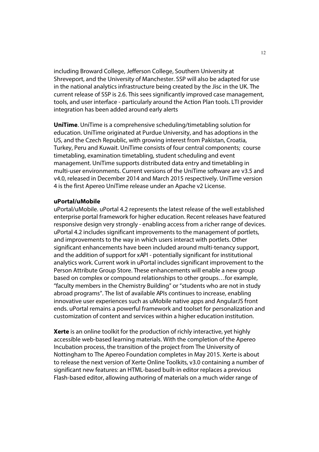including Broward College, Jefferson College, Southern University at Shreveport, and the University of Manchester. SSP will also be adapted for use in the national analytics infrastructure being created by the Jisc in the UK. The current release of SSP is 2.6. This sees significantly improved case management, tools, and user interface - particularly around the Action Plan tools. LTI provider integration has been added around early alerts

**UniTime**. UniTime is a comprehensive scheduling/timetabling solution for education. UniTime originated at Purdue University, and has adoptions in the US, and the Czech Republic, with growing interest from Pakistan, Croatia, Turkey, Peru and Kuwait. UniTime consists of four central components; course timetabling, examination timetabling, student scheduling and event management. UniTime supports distributed data entry and timetabling in multi-user environments. Current versions of the UniTime software are v3.5 and v4.0, released in December 2014 and March 2015 respectively. UniTime version 4 is the first Apereo UniTime release under an Apache v2 License.

#### **uPortal/uMobile**

uPortal/uMobile. uPortal 4.2 represents the latest release of the well established enterprise portal framework for higher education. Recent releases have featured responsive design very strongly - enabling access from a richer range of devices. uPortal 4.2 includes significant improvements to the management of portlets, and improvements to the way in which users interact with portlets. Other significant enhancements have been included around multi-tenancy support, and the addition of support for xAPI - potentially significant for institutional analytics work. Current work in uPortal includes significant improvement to the Person Attribute Group Store. These enhancements will enable a new group based on complex or compound relationships to other groups…for example, "faculty members in the Chemistry Building" or "students who are not in study abroad programs". The list of available APIs continues to increase, enabling innovative user experiences such as uMobile native apps and AngularJS front ends. uPortal remains a powerful framework and toolset for personalization and customization of content and services within a higher education institution.

**Xerte** is an online toolkit for the production of richly interactive, yet highly accessible web-based learning materials. With the completion of the Apereo Incubation process, the transition of the project from The University of Nottingham to The Apereo Foundation completes in May 2015. Xerte is about to release the next version of Xerte Online Toolkits, v3.0 containing a number of significant new features: an HTML-based built-in editor replaces a previous Flash-based editor, allowing authoring of materials on a much wider range of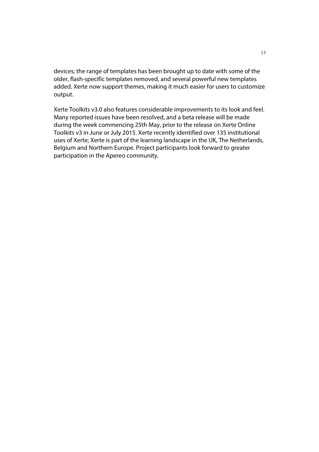devices; the range of templates has been brought up to date with some of the older, flash-specific templates removed, and several powerful new templates added. Xerte now support themes, making it much easier for users to customize output.

Xerte Toolkits v3.0 also features considerable improvements to its look and feel. Many reported issues have been resolved, and a beta release will be made during the week commencing 25th May, prior to the release on Xerte Online Toolkits v3 in June or July 2015. Xerte recently identified over 135 institutional uses of Xerte; Xerte is part of the learning landscape in the UK, The Netherlands, Belgium and Northern Europe. Project participants look forward to greater participation in the Apereo community*.*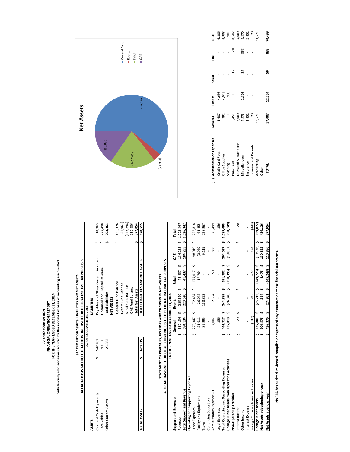# APEREO FOUNDATION<br>FORTHE YEAR OF DERATIONS REPORT<br>Substantially all disclosures required by the income tax basis of accounting are omitted. **FINANCIAL OPERATIONS REPORT APEREO FOUNDATION**

**Substantially all disclosures required by the income tax basis of accounting are omitted. FOR THE YEAR ENDED DECEMBER 31, 2014**

|                          |            | STATEMENT OF ASSETS, LIABILITIES AND NET ASSETS                         |           |
|--------------------------|------------|-------------------------------------------------------------------------|-----------|
|                          |            | ACCRUAL BASIS METHOD OF ACCOUNTING USED FOR FEDERAL INCOME TAX PURPOSES |           |
|                          |            | AS OF DECEMBER 31, 2014                                                 |           |
| ASSETS                   |            | <b>LIABILITIES</b>                                                      |           |
| Cash and Cash Eqivalents | 547,282    | Payables and Other Current Liabilities                                  | 18,963    |
| Receivables              | 99,550     | Inearned and Prepaid Revenue                                            | 274,498   |
| Other Current Assets     | 23,683     | <b>Total Liabilities</b>                                                | 293,461   |
|                          |            | NET ASSETS                                                              |           |
|                          |            | General Fund Balance                                                    | 436,376   |
|                          |            | Events Fund Balance                                                     | (24, 961) |
|                          |            | Sakai Fund Balance                                                      | 145,248)  |
|                          |            | <b>DAE Fund Balance</b>                                                 | 110,886   |
|                          |            | <b>Total Net Assets</b>                                                 | 377,054   |
| <b>TOTAL ASSETS</b>      | \$ 670,515 | TOTAL LIABILITIES AND NET ASSETS                                        | 670,515   |

|                                                                         | STATEMENT OF REVENUES, EXPENSES AND CHANGES IN NET ASSETS |                        |                 |                      |                     | (24, 961)                    |         |               |       |     |                |
|-------------------------------------------------------------------------|-----------------------------------------------------------|------------------------|-----------------|----------------------|---------------------|------------------------------|---------|---------------|-------|-----|----------------|
| ACCRUAL BASIS METHOD OF ACCOUNTING USED FOR FEDERAL INCOME TAX PURPOSES |                                                           |                        |                 |                      |                     |                              |         |               |       |     |                |
|                                                                         | FOR THE YEAR ENDED DECEMBER 31, 2014                      |                        |                 |                      |                     |                              |         |               |       |     |                |
| Support and Revenue                                                     | General                                                   | Events                 | Sakai           | ă                    | Total               |                              |         |               |       |     |                |
| Revenue                                                                 | $$80,134$ \$                                              | 220,520                | S<br>41,437     | 184,255              | $5 \quad 1.026.347$ |                              |         |               |       |     |                |
| <b>Total Support and Revenue</b>                                        | $$580,134$ \$                                             | 220,520                | S<br>41,437     | 184,255 \$ 1,026,347 |                     |                              |         |               |       |     |                |
| Operating and Supporting Expenses                                       |                                                           |                        |                 |                      |                     |                              |         |               |       |     |                |
| Labor Expenses                                                          | 279,347 \$                                                | $\mathsf{L}$<br>72,434 | $174,017$ \$    | 198,019 \$           | 723,818             |                              |         |               |       |     |                |
| Facility and Equipment                                                  | 21,611                                                    | 26,048                 | 17,764          | (3,969)              | 61,455              |                              |         |               |       |     |                |
| Travel                                                                  | 85,995                                                    | 133,853                |                 | 9,119                | 228,967             |                              |         |               |       |     |                |
| Continuing Education                                                    |                                                           |                        |                 |                      |                     |                              |         |               |       |     |                |
| Administration Expenses (1.)                                            | 57,007                                                    | 12,554                 | 50              | 888                  | 70,499              | (1.) Administration Expenses | General | Events        | Sakai | ă   | TOTAL          |
| Legal Expenses                                                          | 356                                                       |                        |                 |                      | 356                 | Credit Card Fees             | 1,607   | 4,698         |       |     | 6,306          |
| Total Operating and Supporting Expenses                                 | 5444,3175                                                 | 244,889                | 191,832 \$      | 204,057 \$ 1,085,095 |                     | Office Supplies              | 892     | 4,046         |       |     | 4,938          |
| Change in Net Assets from Operating Activities                          | 'n<br>135,818<br>s,                                       | $(24,370)$ \$          | $(150, 395)$ \$ | s,<br>(19, 802)      | 58,749              | Shipping                     |         | ဓ္ဌ           |       |     | $\overline{5}$ |
| Non-Operating Activities                                                |                                                           |                        |                 |                      |                     | <b>Bank Fees</b>             | 8,451   | $\frac{6}{5}$ |       |     | 8,502          |
| Interest Income                                                         | 120                                                       |                        |                 |                      | $^{120}$            | Dues and Subscriptions       | 5,060   |               |       |     | 5,060          |
| Other Income                                                            |                                                           |                        |                 |                      |                     | Miscellaneous                | 573     | 2,893         |       | 868 | 8,370          |
| Interest Expense                                                        |                                                           |                        |                 |                      |                     | Insurance                    | 2,831   |               |       |     | 2,831          |
| Foreign Currency Gains and Losses                                       | (137)                                                     | (845)                  | 672             | (134)                | (443)               | Licenses and Permits         | 20      |               |       |     | $\approx$      |
| Change in Net Assets                                                    | n<br>\$135,801                                            | $(25,215)$ \$          | $(149, 723)$ \$ | $(19,936)$ \$        | (59, 072)           | Accounting                   | 33,571  |               |       |     | 33,571         |
| Net Assets at beginning of year                                         | 300,575<br>s                                              | 254                    | 4,475\$         | S<br>130,822         | 436,126             | Other                        |         |               |       |     |                |
| Net Assets at end of year                                               | \$436,376\$                                               | $(24,961)$ \$          | $(145,248)$ \$  | 110,886 \$           | 377,054             | <b>TOTAL</b>                 | 57,007  | 12,554        | ន     | 888 | 70,499         |
|                                                                         |                                                           |                        |                 |                      |                     |                              |         |               |       |     |                |





| 1.) Administration Expenses | General | Events | Sakai | ă   | <b>TOTAL</b>            |
|-----------------------------|---------|--------|-------|-----|-------------------------|
| Credit Card Fees            | 1,607   | 4,698  |       |     | 6,306                   |
| Office Supplies             | 892     | 4,046  |       |     | 4,938                   |
| Shipping                    |         | 900    |       |     | $\overline{5}$          |
| Bank Fees                   | 8,451   |        |       |     |                         |
| Dues and Subscriptions      | 5,060   |        |       |     |                         |
| Miscellaneous               | 4,573   | 2,893  |       | 868 | 8,502<br>5,060<br>8,370 |
| nsurance                    | 2,831   |        |       |     | 2,831                   |
| Licenses and Permits        |         |        |       |     | $\approx$               |
| Accounting                  | 33,571  |        |       |     | 33,571                  |
| Other                       |         |        |       |     |                         |
| TOTAL                       | 57,007  | 12,554 |       | 888 | 70,499                  |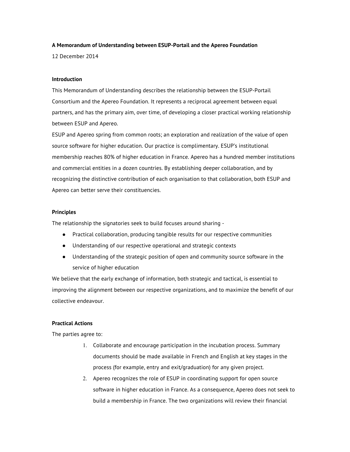# **A Memorandum of Understanding between ESUP-Portail and the Apereo Foundation**

12 December 2014

## **Introduction**

This Memorandum of Understanding describes the relationship between the ESUP-Portail Consortium and the Apereo Foundation. It represents a reciprocal agreement between equal partners, and has the primary aim, over time, of developing a closer practical working relationship between ESUP and Apereo.

ESUP and Apereo spring from common roots; an exploration and realization of the value of open source software for higher education. Our practice is complimentary. ESUP's institutional membership reaches 80% of higher education in France. Apereo has a hundred member institutions and commercial entities in a dozen countries. By establishing deeper collaboration, and by recognizing the distinctive contribution of each organisation to that collaboration, both ESUP and Apereo can better serve their constituencies.

### **Principles**

The relationship the signatories seek to build focuses around sharing -

- Practical collaboration, producing tangible results for our respective communities
- Understanding of our respective operational and strategic contexts
- Understanding of the strategic position of open and community source software in the service of higher education

We believe that the early exchange of information, both strategic and tactical, is essential to improving the alignment between our respective organizations, and to maximize the benefit of our collective endeavour.

# **Practical Actions**

The parties agree to:

- 1. Collaborate and encourage participation in the incubation process. Summary documents should be made available in French and English at key stages in the process (for example, entry and exit/graduation) for any given project.
- 2. Apereo recognizes the role of ESUP in coordinating support for open source software in higher education in France. As a consequence, Apereo does not seek to build a membership in France. The two organizations will review their financial